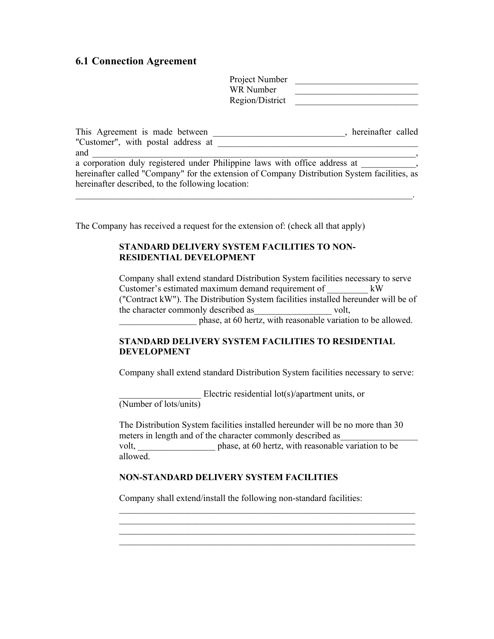# **6.1 Connection Agreement**

| Project Number  |  |
|-----------------|--|
| WR Number       |  |
| Region/District |  |

| This Agreement is made between                                                               | hereinafter called |  |
|----------------------------------------------------------------------------------------------|--------------------|--|
| "Customer", with postal address at                                                           |                    |  |
| and                                                                                          |                    |  |
| a corporation duly registered under Philippine laws with office address at                   |                    |  |
| hereinafter called "Company" for the extension of Company Distribution System facilities, as |                    |  |

 $\mathcal{L}_\mathcal{L} = \mathcal{L}_\mathcal{L} = \mathcal{L}_\mathcal{L} = \mathcal{L}_\mathcal{L} = \mathcal{L}_\mathcal{L} = \mathcal{L}_\mathcal{L} = \mathcal{L}_\mathcal{L} = \mathcal{L}_\mathcal{L} = \mathcal{L}_\mathcal{L} = \mathcal{L}_\mathcal{L} = \mathcal{L}_\mathcal{L} = \mathcal{L}_\mathcal{L} = \mathcal{L}_\mathcal{L} = \mathcal{L}_\mathcal{L} = \mathcal{L}_\mathcal{L} = \mathcal{L}_\mathcal{L} = \mathcal{L}_\mathcal{L}$ 

hereinafter described, to the following location:

The Company has received a request for the extension of: (check all that apply)

# **STANDARD DELIVERY SYSTEM FACILITIES TO NON-RESIDENTIAL DEVELOPMENT**

Company shall extend standard Distribution System facilities necessary to serve Customer's estimated maximum demand requirement of  $kW$ ("Contract kW"). The Distribution System facilities installed hereunder will be of the character commonly described as  $volt$ , phase, at 60 hertz, with reasonable variation to be allowed.

# **STANDARD DELIVERY SYSTEM FACILITIES TO RESIDENTIAL DEVELOPMENT**

Company shall extend standard Distribution System facilities necessary to serve:

Electric residential lot(s)/apartment units, or (Number of lots/units)

The Distribution System facilities installed hereunder will be no more than 30 meters in length and of the character commonly described as volt, phase, at 60 hertz, with reasonable variation to be allowed.

 $\mathcal{L}_\text{max} = \frac{1}{2} \sum_{i=1}^n \mathcal{L}_\text{max}(\mathbf{z}_i - \mathbf{z}_i)$  $\mathcal{L}_\text{max} = \mathcal{L}_\text{max} = \mathcal{L}_\text{max} = \mathcal{L}_\text{max} = \mathcal{L}_\text{max} = \mathcal{L}_\text{max} = \mathcal{L}_\text{max} = \mathcal{L}_\text{max} = \mathcal{L}_\text{max} = \mathcal{L}_\text{max} = \mathcal{L}_\text{max} = \mathcal{L}_\text{max} = \mathcal{L}_\text{max} = \mathcal{L}_\text{max} = \mathcal{L}_\text{max} = \mathcal{L}_\text{max} = \mathcal{L}_\text{max} = \mathcal{L}_\text{max} = \mathcal{$  $\mathcal{L}_\text{max} = \frac{1}{2} \sum_{i=1}^n \mathcal{L}_\text{max}(\mathbf{z}_i - \mathbf{z}_i)$  $\mathcal{L}_\text{max} = \mathcal{L}_\text{max} = \mathcal{L}_\text{max} = \mathcal{L}_\text{max} = \mathcal{L}_\text{max} = \mathcal{L}_\text{max} = \mathcal{L}_\text{max} = \mathcal{L}_\text{max} = \mathcal{L}_\text{max} = \mathcal{L}_\text{max} = \mathcal{L}_\text{max} = \mathcal{L}_\text{max} = \mathcal{L}_\text{max} = \mathcal{L}_\text{max} = \mathcal{L}_\text{max} = \mathcal{L}_\text{max} = \mathcal{L}_\text{max} = \mathcal{L}_\text{max} = \mathcal{$ 

#### **NON-STANDARD DELIVERY SYSTEM FACILITIES**

Company shall extend/install the following non-standard facilities: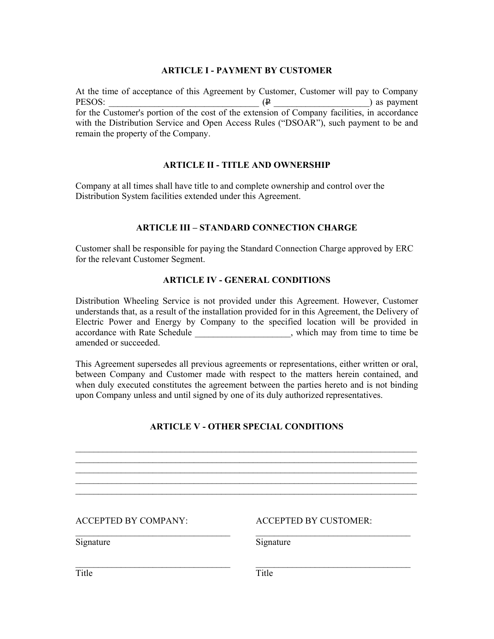## **ARTICLE I - PAYMENT BY CUSTOMER**

At the time of acceptance of this Agreement by Customer, Customer will pay to Company PESOS:  $(\mathbf{P})$  as payment for the Customer's portion of the cost of the extension of Company facilities, in accordance with the Distribution Service and Open Access Rules ("DSOAR"), such payment to be and remain the property of the Company.

## **ARTICLE II - TITLE AND OWNERSHIP**

Company at all times shall have title to and complete ownership and control over the Distribution System facilities extended under this Agreement.

## **ARTICLE III – STANDARD CONNECTION CHARGE**

Customer shall be responsible for paying the Standard Connection Charge approved by ERC for the relevant Customer Segment.

#### **ARTICLE IV - GENERAL CONDITIONS**

Distribution Wheeling Service is not provided under this Agreement. However, Customer understands that, as a result of the installation provided for in this Agreement, the Delivery of Electric Power and Energy by Company to the specified location will be provided in accordance with Rate Schedule \_\_\_\_\_\_\_\_\_\_\_\_\_\_\_\_\_\_\_, which may from time to time be amended or succeeded.

This Agreement supersedes all previous agreements or representations, either written or oral, between Company and Customer made with respect to the matters herein contained, and when duly executed constitutes the agreement between the parties hereto and is not binding upon Company unless and until signed by one of its duly authorized representatives.

# **ARTICLE V - OTHER SPECIAL CONDITIONS**

\_\_\_\_\_\_\_\_\_\_\_\_\_\_\_\_\_\_\_\_\_\_\_\_\_\_\_\_\_\_\_\_\_\_\_\_\_\_\_\_\_\_\_\_\_\_\_\_\_\_\_\_\_\_\_\_\_\_\_\_\_\_\_\_\_\_\_\_\_\_\_\_\_\_\_

 $\mathcal{L}_\mathcal{L} = \{ \mathcal{L}_\mathcal{L} = \{ \mathcal{L}_\mathcal{L} = \{ \mathcal{L}_\mathcal{L} = \{ \mathcal{L}_\mathcal{L} = \{ \mathcal{L}_\mathcal{L} = \{ \mathcal{L}_\mathcal{L} = \{ \mathcal{L}_\mathcal{L} = \{ \mathcal{L}_\mathcal{L} = \{ \mathcal{L}_\mathcal{L} = \{ \mathcal{L}_\mathcal{L} = \{ \mathcal{L}_\mathcal{L} = \{ \mathcal{L}_\mathcal{L} = \{ \mathcal{L}_\mathcal{L} = \{ \mathcal{L}_\mathcal{$ \_\_\_\_\_\_\_\_\_\_\_\_\_\_\_\_\_\_\_\_\_\_\_\_\_\_\_\_\_\_\_\_\_\_\_\_\_\_\_\_\_\_\_\_\_\_\_\_\_\_\_\_\_\_\_\_\_\_\_\_\_\_\_\_\_\_\_\_\_\_\_\_\_\_\_  $\mathcal{L}_\mathcal{L} = \{ \mathcal{L}_\mathcal{L} = \{ \mathcal{L}_\mathcal{L} = \{ \mathcal{L}_\mathcal{L} = \{ \mathcal{L}_\mathcal{L} = \{ \mathcal{L}_\mathcal{L} = \{ \mathcal{L}_\mathcal{L} = \{ \mathcal{L}_\mathcal{L} = \{ \mathcal{L}_\mathcal{L} = \{ \mathcal{L}_\mathcal{L} = \{ \mathcal{L}_\mathcal{L} = \{ \mathcal{L}_\mathcal{L} = \{ \mathcal{L}_\mathcal{L} = \{ \mathcal{L}_\mathcal{L} = \{ \mathcal{L}_\mathcal{$ 

\_\_\_\_\_\_\_\_\_\_\_\_\_\_\_\_\_\_\_\_\_\_\_\_\_\_\_\_\_\_\_\_\_\_ \_\_\_\_\_\_\_\_\_\_\_\_\_\_\_\_\_\_\_\_\_\_\_\_\_\_\_\_\_\_\_\_\_\_

\_\_\_\_\_\_\_\_\_\_\_\_\_\_\_\_\_\_\_\_\_\_\_\_\_\_\_\_\_\_\_\_\_\_ \_\_\_\_\_\_\_\_\_\_\_\_\_\_\_\_\_\_\_\_\_\_\_\_\_\_\_\_\_\_\_\_\_\_

#### ACCEPTED BY COMPANY: ACCEPTED BY CUSTOMER:

Signature Signature Signature